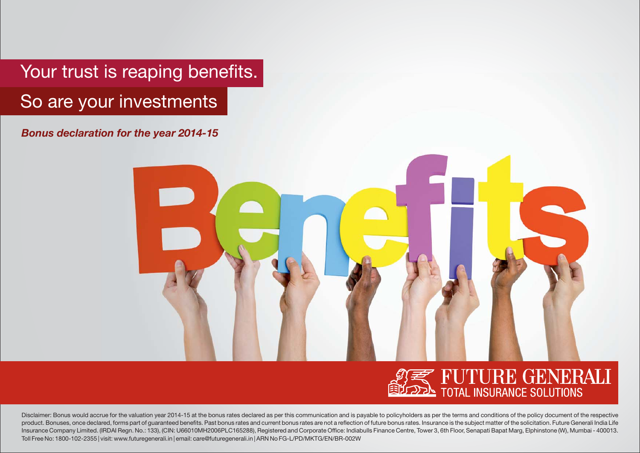Your trust is reaping benefits. So are your investments

*Bonus declaration for the year 2014-15*





Disclaimer: Bonus would accrue for the valuation year 2014-15 at the bonus rates declared as per this communication and is payable to policyholders as per the terms and conditions of the policy document of the respective product. Bonuses, once declared, forms part of guaranteed benefits. Past bonus rates and current bonus rates are not a reflection of future bonus rates. Insurance is the subject matter of the solicitation. Future Generali Insurance Company Limited. (IRDAI Regn. No.: 133), (CIN: U66010MH2006PLC165288), Registered and Corporate Office: Indiabulls Finance Centre, Tower 3, 6th Floor, Senapati Bapat Marg, Elphinstone (W), Mumbai - 400013. Toll Free No: 1800-102-2355 | visit: www.futuregenerali.in | email: care@futuregenerali.in | ARN No FG-L/PD/MKTG/EN/BR-002W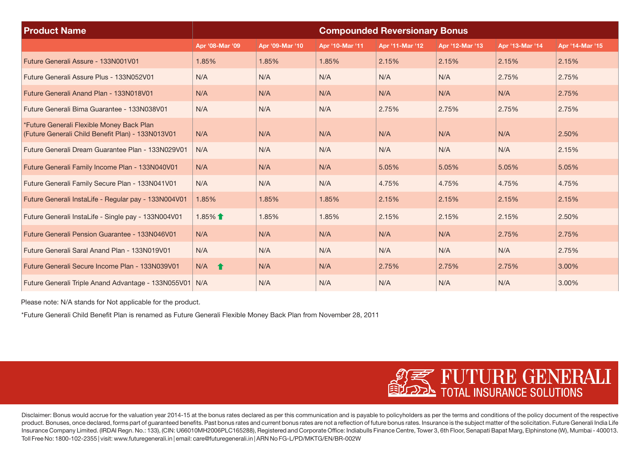| <b>Product Name</b>                                                                            | <b>Compounded Reversionary Bonus</b> |                 |                 |                 |                 |                 |                 |
|------------------------------------------------------------------------------------------------|--------------------------------------|-----------------|-----------------|-----------------|-----------------|-----------------|-----------------|
|                                                                                                | Apr '08-Mar '09                      | Apr '09-Mar '10 | Apr '10-Mar '11 | Apr '11-Mar '12 | Apr '12-Mar '13 | Apr '13-Mar '14 | Apr '14-Mar '15 |
| Future Generali Assure - 133N001V01                                                            | 1.85%                                | 1.85%           | 1.85%           | 2.15%           | 2.15%           | 2.15%           | 2.15%           |
| Future Generali Assure Plus - 133N052V01                                                       | N/A                                  | N/A             | N/A             | N/A             | N/A             | 2.75%           | 2.75%           |
| Future Generali Anand Plan - 133N018V01                                                        | N/A                                  | N/A             | N/A             | N/A             | N/A             | N/A             | 2.75%           |
| Future Generali Bima Guarantee - 133N038V01                                                    | N/A                                  | N/A             | N/A             | 2.75%           | 2.75%           | 2.75%           | 2.75%           |
| *Future Generali Flexible Money Back Plan<br>(Future Generali Child Benefit Plan) - 133N013V01 | N/A                                  | N/A             | N/A             | N/A             | N/A             | N/A             | 2.50%           |
| Future Generali Dream Guarantee Plan - 133N029V01                                              | N/A                                  | N/A             | N/A             | N/A             | N/A             | N/A             | 2.15%           |
| Future Generali Family Income Plan - 133N040V01                                                | N/A                                  | N/A             | N/A             | 5.05%           | 5.05%           | 5.05%           | 5.05%           |
| Future Generali Family Secure Plan - 133N041V01                                                | N/A                                  | N/A             | N/A             | 4.75%           | 4.75%           | 4.75%           | 4.75%           |
| Future Generali InstaLife - Regular pay - 133N004V01                                           | 1.85%                                | 1.85%           | 1.85%           | 2.15%           | 2.15%           | 2.15%           | 2.15%           |
| Future Generali InstaLife - Single pay - 133N004V01                                            | $1.85\%$ 1                           | 1.85%           | 1.85%           | 2.15%           | 2.15%           | 2.15%           | 2.50%           |
| <b>Future Generali Pension Guarantee - 133N046V01</b>                                          | N/A                                  | N/A             | N/A             | N/A             | N/A             | 2.75%           | 2.75%           |
| Future Generali Saral Anand Plan - 133N019V01                                                  | N/A                                  | N/A             | N/A             | N/A             | N/A             | N/A             | 2.75%           |
| Future Generali Secure Income Plan - 133N039V01                                                | $N/A$ $\uparrow$                     | N/A             | N/A             | 2.75%           | 2.75%           | 2.75%           | 3.00%           |
| Future Generali Triple Anand Advantage - 133N055V01 N/A                                        |                                      | N/A             | N/A             | N/A             | N/A             | N/A             | 3.00%           |

Please note: N/A stands for Not applicable for the product.

\*Future Generali Child Benefit Plan is renamed as Future Generali Flexible Money Back Plan from November 28, 2011



Disclaimer: Bonus would accrue for the valuation year 2014-15 at the bonus rates declared as per this communication and is payable to policyholders as per the terms and conditions of the policy document of the respective product. Bonuses, once declared, forms part of quaranteed benefits. Past bonus rates and current bonus rates are not a reflection of future bonus rates. Insurance is the subject matter of the solicitation. Future Generali Insurance Company Limited. (IRDAI Regn. No.: 133), (CIN: U66010MH2006PLC165288), Registered and Corporate Office: Indiabulls Finance Centre, Tower 3, 6th Floor, Senapati Bapat Marg, Elphinstone (W), Mumbai - 400013. Toll Free No: 1800-102-2355 | visit: www.futuregenerali.in | email: care@futuregenerali.in | ARN No FG-L/PD/MKTG/EN/BR-002W